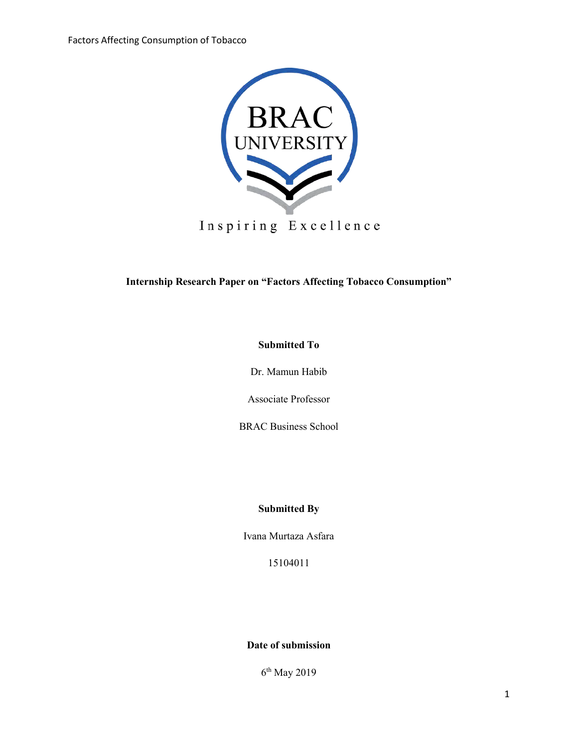

Inspiring Excellence

**Internship Research Paper on "Factors Affecting Tobacco Consumption"**

## **Submitted To**

Dr. Mamun Habib

Associate Professor

BRAC Business School

## **Submitted By**

Ivana Murtaza Asfara

15104011

## **Date of submission**

6 th May 2019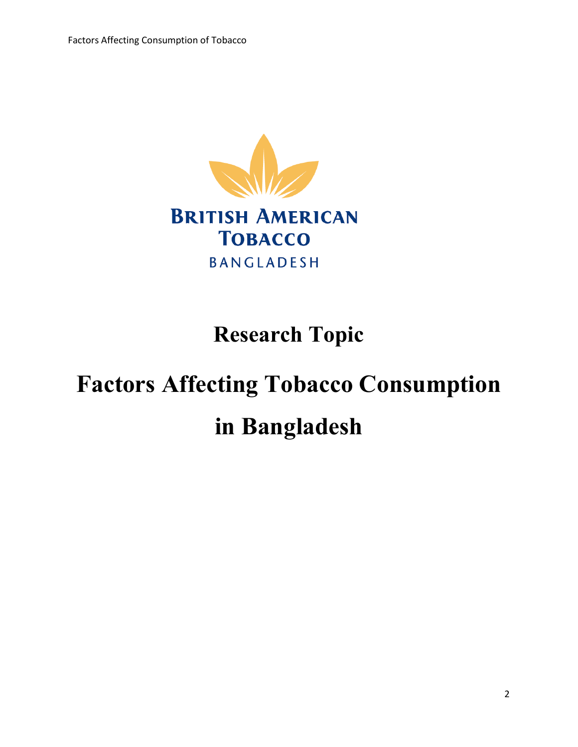

# **Research Topic**

# **Factors Affecting Tobacco Consumption in Bangladesh**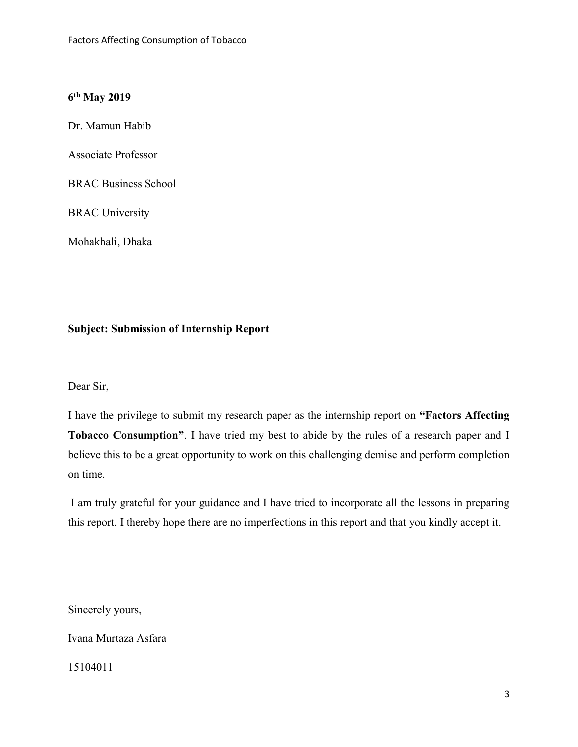# **6 th May 2019**

Dr. Mamun Habib

Associate Professor

BRAC Business School

BRAC University

Mohakhali, Dhaka

# **Subject: Submission of Internship Report**

Dear Sir,

I have the privilege to submit my research paper as the internship report on **"Factors Affecting Tobacco Consumption"**. I have tried my best to abide by the rules of a research paper and I believe this to be a great opportunity to work on this challenging demise and perform completion on time.

I am truly grateful for your guidance and I have tried to incorporate all the lessons in preparing this report. I thereby hope there are no imperfections in this report and that you kindly accept it.

Sincerely yours,

Ivana Murtaza Asfara

15104011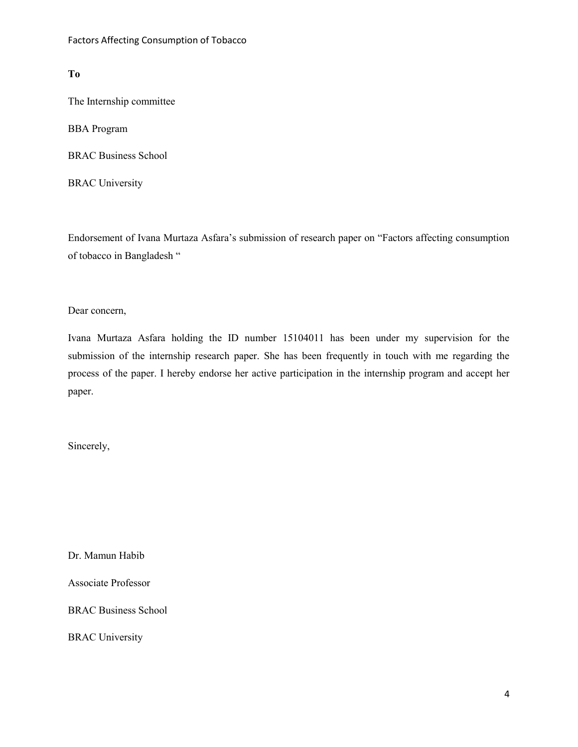#### **To**

The Internship committee

BBA Program

BRAC Business School

BRAC University

Endorsement of Ivana Murtaza Asfara's submission of research paper on "Factors affecting consumption of tobacco in Bangladesh "

Dear concern,

Ivana Murtaza Asfara holding the ID number 15104011 has been under my supervision for the submission of the internship research paper. She has been frequently in touch with me regarding the process of the paper. I hereby endorse her active participation in the internship program and accept her paper.

Sincerely,

Dr. Mamun Habib

Associate Professor

BRAC Business School

BRAC University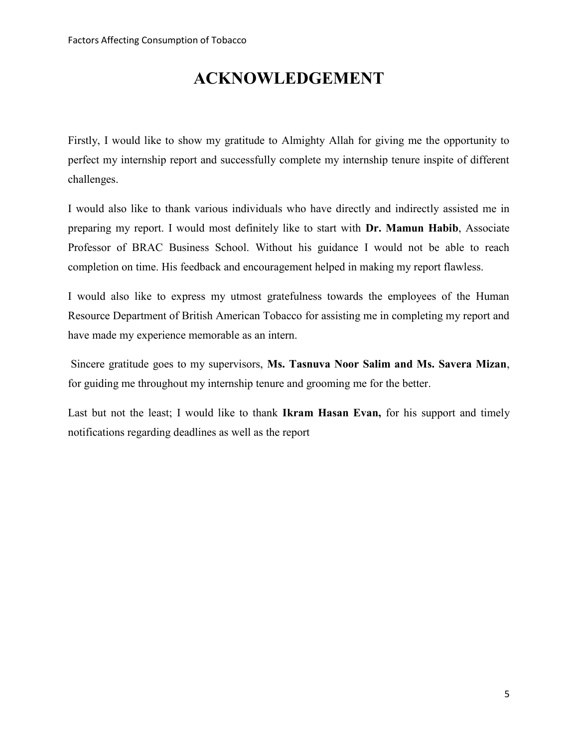# **ACKNOWLEDGEMENT**

Firstly, I would like to show my gratitude to Almighty Allah for giving me the opportunity to perfect my internship report and successfully complete my internship tenure inspite of different challenges.

I would also like to thank various individuals who have directly and indirectly assisted me in preparing my report. I would most definitely like to start with **Dr. Mamun Habib**, Associate Professor of BRAC Business School. Without his guidance I would not be able to reach completion on time. His feedback and encouragement helped in making my report flawless.

I would also like to express my utmost gratefulness towards the employees of the Human Resource Department of British American Tobacco for assisting me in completing my report and have made my experience memorable as an intern.

Sincere gratitude goes to my supervisors, **Ms. Tasnuva Noor Salim and Ms. Savera Mizan**, for guiding me throughout my internship tenure and grooming me for the better.

Last but not the least; I would like to thank **Ikram Hasan Evan,** for his support and timely notifications regarding deadlines as well as the report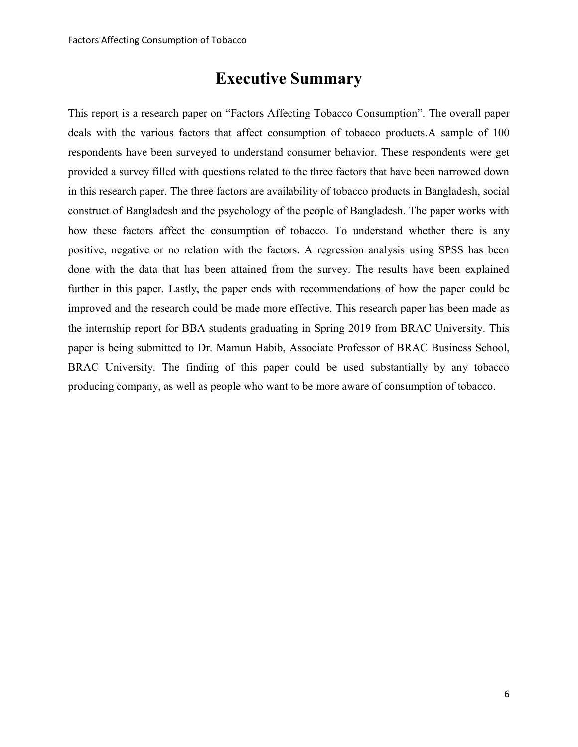# **Executive Summary**

This report is a research paper on "Factors Affecting Tobacco Consumption". The overall paper deals with the various factors that affect consumption of tobacco products.A sample of 100 respondents have been surveyed to understand consumer behavior. These respondents were get provided a survey filled with questions related to the three factors that have been narrowed down in this research paper. The three factors are availability of tobacco products in Bangladesh, social construct of Bangladesh and the psychology of the people of Bangladesh. The paper works with how these factors affect the consumption of tobacco. To understand whether there is any positive, negative or no relation with the factors. A regression analysis using SPSS has been done with the data that has been attained from the survey. The results have been explained further in this paper. Lastly, the paper ends with recommendations of how the paper could be improved and the research could be made more effective. This research paper has been made as the internship report for BBA students graduating in Spring 2019 from BRAC University. This paper is being submitted to Dr. Mamun Habib, Associate Professor of BRAC Business School, BRAC University. The finding of this paper could be used substantially by any tobacco producing company, as well as people who want to be more aware of consumption of tobacco.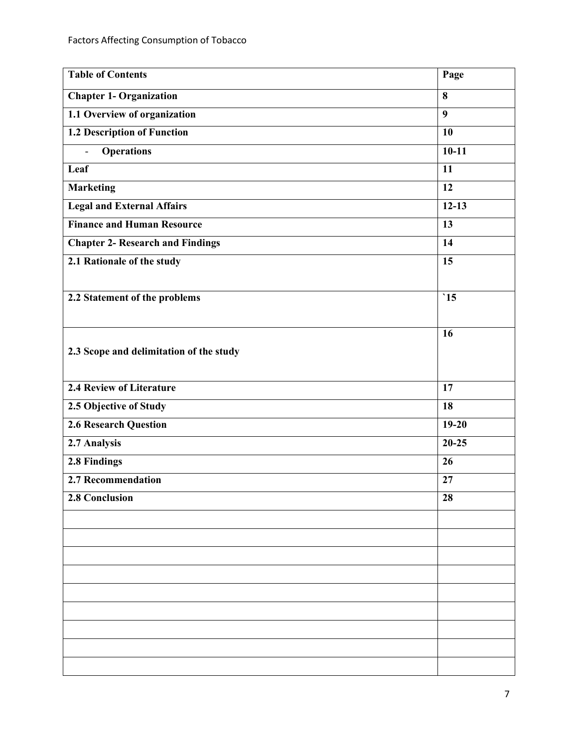| <b>Table of Contents</b>                | Page            |
|-----------------------------------------|-----------------|
| <b>Chapter 1- Organization</b>          | 8               |
| 1.1 Overview of organization            | $\overline{9}$  |
| <b>1.2 Description of Function</b>      | 10              |
| <b>Operations</b><br>$\overline{a}$     | $10-11$         |
| Leaf                                    | $\overline{11}$ |
| <b>Marketing</b>                        | 12              |
| <b>Legal and External Affairs</b>       | $12 - 13$       |
| <b>Finance and Human Resource</b>       | 13              |
| <b>Chapter 2- Research and Findings</b> | 14              |
| 2.1 Rationale of the study              | 15              |
|                                         |                 |
| 2.2 Statement of the problems           | $\cdot$ 15      |
|                                         |                 |
|                                         | 16              |
| 2.3 Scope and delimitation of the study |                 |
|                                         |                 |
| <b>2.4 Review of Literature</b>         | 17              |
| 2.5 Objective of Study                  | 18              |
| <b>2.6 Research Question</b>            | $19-20$         |
| 2.7 Analysis                            | $20 - 25$       |
| 2.8 Findings                            | 26              |
| 2.7 Recommendation                      | 27              |
| 2.8 Conclusion                          | 28              |
|                                         |                 |
|                                         |                 |
|                                         |                 |
|                                         |                 |
|                                         |                 |
|                                         |                 |
|                                         |                 |
|                                         |                 |
|                                         |                 |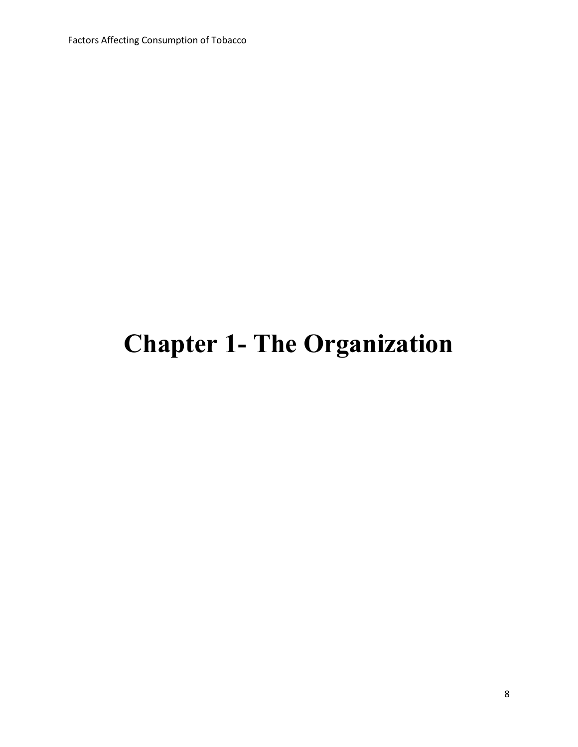Factors Affecting Consumption of Tobacco

# **Chapter 1- The Organization**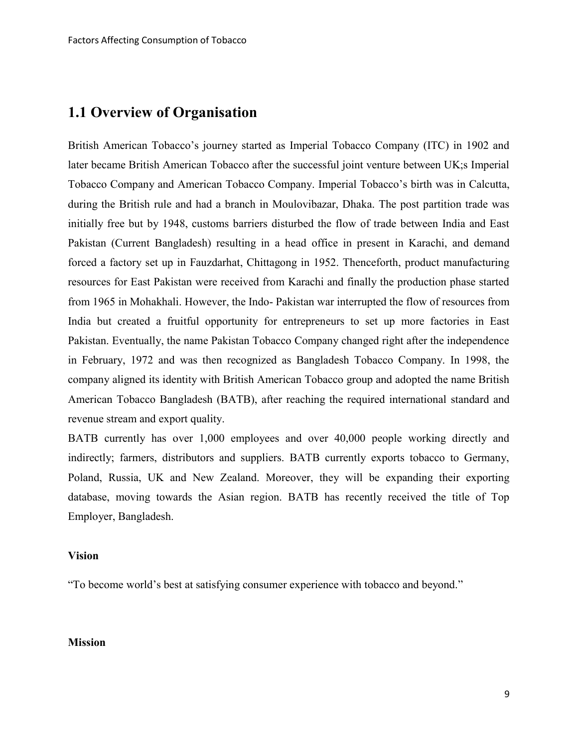# **1.1 Overview of Organisation**

British American Tobacco's journey started as Imperial Tobacco Company (ITC) in 1902 and later became British American Tobacco after the successful joint venture between UK;s Imperial Tobacco Company and American Tobacco Company. Imperial Tobacco's birth was in Calcutta, during the British rule and had a branch in Moulovibazar, Dhaka. The post partition trade was initially free but by 1948, customs barriers disturbed the flow of trade between India and East Pakistan (Current Bangladesh) resulting in a head office in present in Karachi, and demand forced a factory set up in Fauzdarhat, Chittagong in 1952. Thenceforth, product manufacturing resources for East Pakistan were received from Karachi and finally the production phase started from 1965 in Mohakhali. However, the Indo- Pakistan war interrupted the flow of resources from India but created a fruitful opportunity for entrepreneurs to set up more factories in East Pakistan. Eventually, the name Pakistan Tobacco Company changed right after the independence in February, 1972 and was then recognized as Bangladesh Tobacco Company. In 1998, the company aligned its identity with British American Tobacco group and adopted the name British American Tobacco Bangladesh (BATB), after reaching the required international standard and revenue stream and export quality.

BATB currently has over 1,000 employees and over 40,000 people working directly and indirectly; farmers, distributors and suppliers. BATB currently exports tobacco to Germany, Poland, Russia, UK and New Zealand. Moreover, they will be expanding their exporting database, moving towards the Asian region. BATB has recently received the title of Top Employer, Bangladesh.

#### **Vision**

"To become world's best at satisfying consumer experience with tobacco and beyond."

#### **Mission**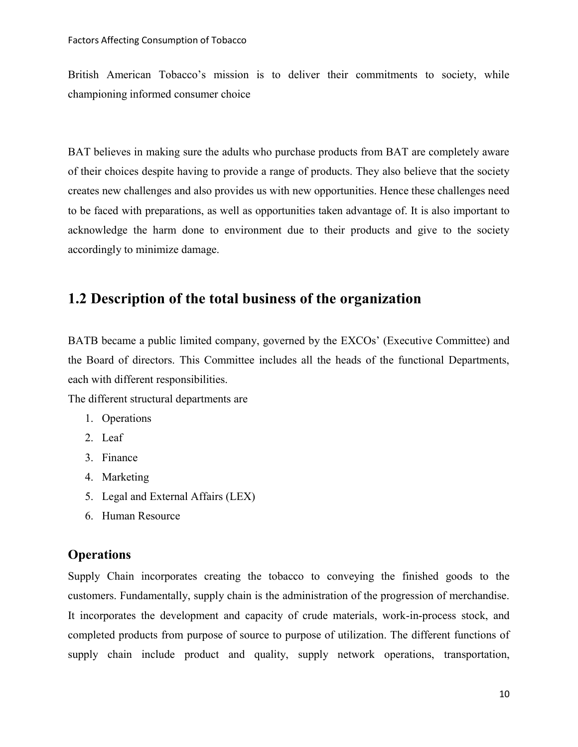British American Tobacco's mission is to deliver their commitments to society, while championing informed consumer choice

BAT believes in making sure the adults who purchase products from BAT are completely aware of their choices despite having to provide a range of products. They also believe that the society creates new challenges and also provides us with new opportunities. Hence these challenges need to be faced with preparations, as well as opportunities taken advantage of. It is also important to acknowledge the harm done to environment due to their products and give to the society accordingly to minimize damage.

# **1.2 Description of the total business of the organization**

BATB became a public limited company, governed by the EXCOs' (Executive Committee) and the Board of directors. This Committee includes all the heads of the functional Departments, each with different responsibilities.

The different structural departments are

- 1. Operations
- 2. Leaf
- 3. Finance
- 4. Marketing
- 5. Legal and External Affairs (LEX)
- 6. Human Resource

#### **Operations**

Supply Chain incorporates creating the tobacco to conveying the finished goods to the customers. Fundamentally, supply chain is the administration of the progression of merchandise. It incorporates the development and capacity of crude materials, work-in-process stock, and completed products from purpose of source to purpose of utilization. The different functions of supply chain include product and quality, supply network operations, transportation,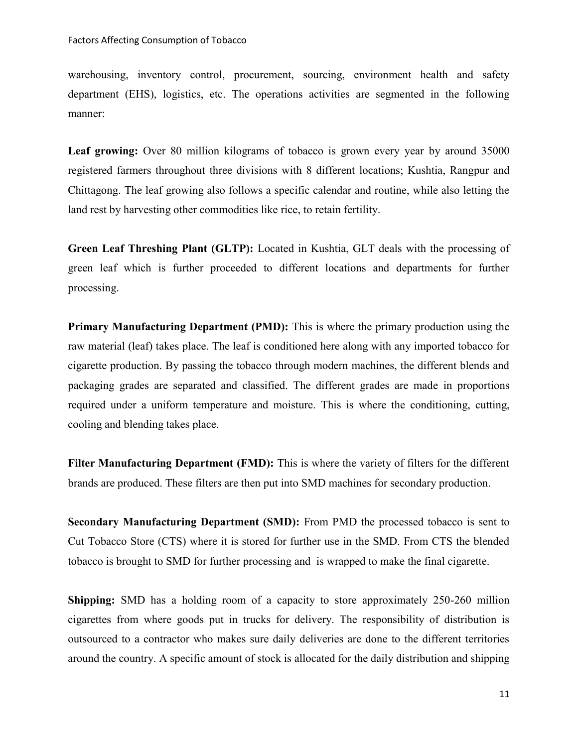warehousing, inventory control, procurement, sourcing, environment health and safety department (EHS), logistics, etc. The operations activities are segmented in the following manner:

Leaf growing: Over 80 million kilograms of tobacco is grown every year by around 35000 registered farmers throughout three divisions with 8 different locations; Kushtia, Rangpur and Chittagong. The leaf growing also follows a specific calendar and routine, while also letting the land rest by harvesting other commodities like rice, to retain fertility.

**Green Leaf Threshing Plant (GLTP):** Located in Kushtia, GLT deals with the processing of green leaf which is further proceeded to different locations and departments for further processing.

**Primary Manufacturing Department (PMD):** This is where the primary production using the raw material (leaf) takes place. The leaf is conditioned here along with any imported tobacco for cigarette production. By passing the tobacco through modern machines, the different blends and packaging grades are separated and classified. The different grades are made in proportions required under a uniform temperature and moisture. This is where the conditioning, cutting, cooling and blending takes place.

**Filter Manufacturing Department (FMD):** This is where the variety of filters for the different brands are produced. These filters are then put into SMD machines for secondary production.

**Secondary Manufacturing Department (SMD):** From PMD the processed tobacco is sent to Cut Tobacco Store (CTS) where it is stored for further use in the SMD. From CTS the blended tobacco is brought to SMD for further processing and is wrapped to make the final cigarette.

**Shipping:** SMD has a holding room of a capacity to store approximately 250-260 million cigarettes from where goods put in trucks for delivery. The responsibility of distribution is outsourced to a contractor who makes sure daily deliveries are done to the different territories around the country. A specific amount of stock is allocated for the daily distribution and shipping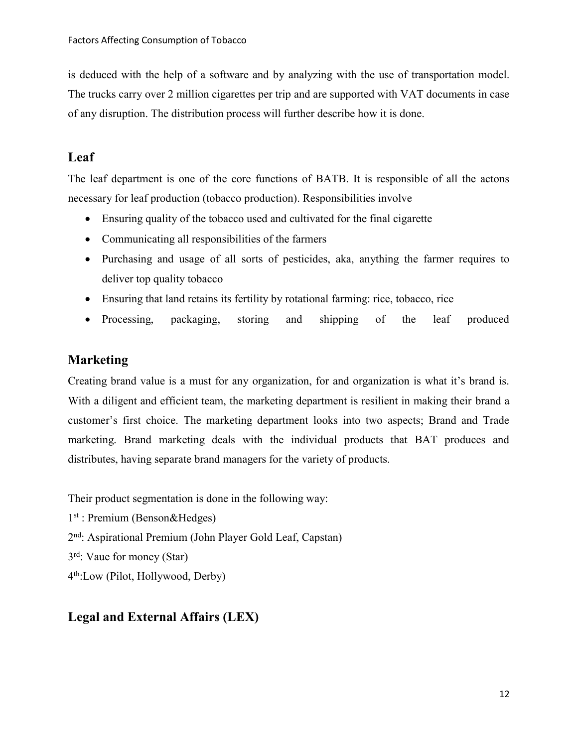is deduced with the help of a software and by analyzing with the use of transportation model. The trucks carry over 2 million cigarettes per trip and are supported with VAT documents in case of any disruption. The distribution process will further describe how it is done.

# **Leaf**

The leaf department is one of the core functions of BATB. It is responsible of all the actons necessary for leaf production (tobacco production). Responsibilities involve

- Ensuring quality of the tobacco used and cultivated for the final cigarette
- Communicating all responsibilities of the farmers
- Purchasing and usage of all sorts of pesticides, aka, anything the farmer requires to deliver top quality tobacco
- Ensuring that land retains its fertility by rotational farming: rice, tobacco, rice
- Processing, packaging, storing and shipping of the leaf produced

# **Marketing**

Creating brand value is a must for any organization, for and organization is what it's brand is. With a diligent and efficient team, the marketing department is resilient in making their brand a customer's first choice. The marketing department looks into two aspects; Brand and Trade marketing. Brand marketing deals with the individual products that BAT produces and distributes, having separate brand managers for the variety of products.

Their product segmentation is done in the following way:

- 1 st : Premium (Benson&Hedges)
- 2<sup>nd</sup>: Aspirational Premium (John Player Gold Leaf, Capstan)
- 3 rd: Vaue for money (Star)

4 th:Low (Pilot, Hollywood, Derby)

# **Legal and External Affairs (LEX)**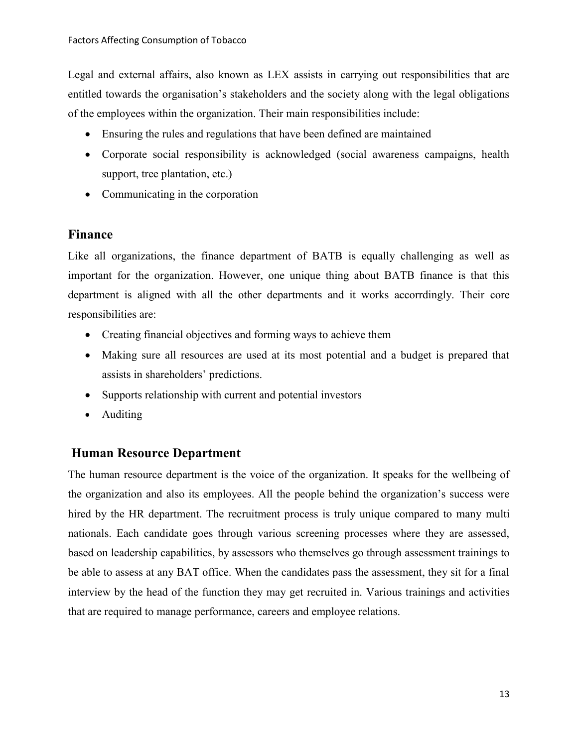Legal and external affairs, also known as LEX assists in carrying out responsibilities that are entitled towards the organisation's stakeholders and the society along with the legal obligations of the employees within the organization. Their main responsibilities include:

- Ensuring the rules and regulations that have been defined are maintained
- Corporate social responsibility is acknowledged (social awareness campaigns, health support, tree plantation, etc.)
- Communicating in the corporation

# **Finance**

Like all organizations, the finance department of BATB is equally challenging as well as important for the organization. However, one unique thing about BATB finance is that this department is aligned with all the other departments and it works accorrdingly. Their core responsibilities are:

- Creating financial objectives and forming ways to achieve them
- Making sure all resources are used at its most potential and a budget is prepared that assists in shareholders' predictions.
- Supports relationship with current and potential investors
- Auditing

# **Human Resource Department**

The human resource department is the voice of the organization. It speaks for the wellbeing of the organization and also its employees. All the people behind the organization's success were hired by the HR department. The recruitment process is truly unique compared to many multi nationals. Each candidate goes through various screening processes where they are assessed, based on leadership capabilities, by assessors who themselves go through assessment trainings to be able to assess at any BAT office. When the candidates pass the assessment, they sit for a final interview by the head of the function they may get recruited in. Various trainings and activities that are required to manage performance, careers and employee relations.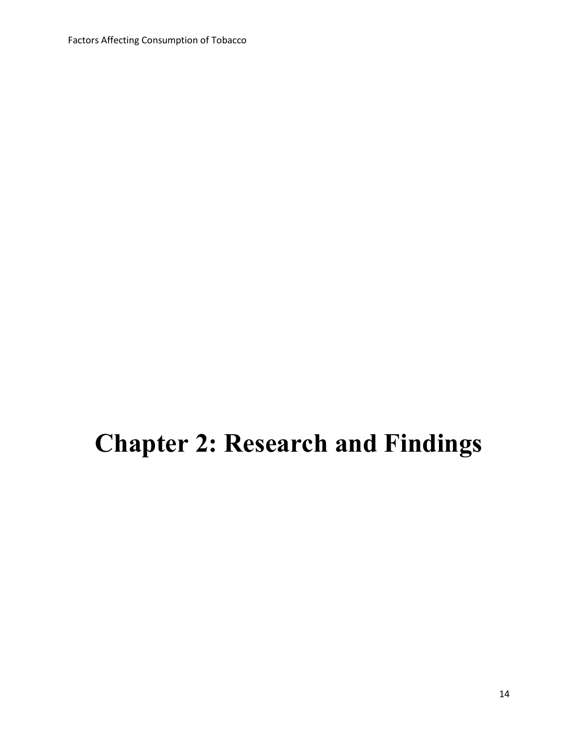Factors Affecting Consumption of Tobacco

# **Chapter 2: Research and Findings**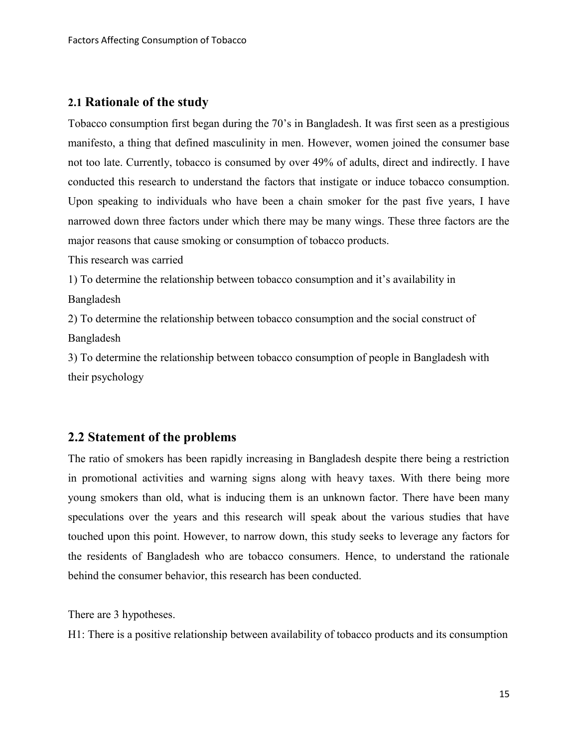## **2.1 Rationale of the study**

Tobacco consumption first began during the 70's in Bangladesh. It was first seen as a prestigious manifesto, a thing that defined masculinity in men. However, women joined the consumer base not too late. Currently, tobacco is consumed by over 49% of adults, direct and indirectly. I have conducted this research to understand the factors that instigate or induce tobacco consumption. Upon speaking to individuals who have been a chain smoker for the past five years, I have narrowed down three factors under which there may be many wings. These three factors are the major reasons that cause smoking or consumption of tobacco products.

This research was carried

1) To determine the relationship between tobacco consumption and it's availability in

Bangladesh

2) To determine the relationship between tobacco consumption and the social construct of Bangladesh

3) To determine the relationship between tobacco consumption of people in Bangladesh with their psychology

## **2.2 Statement of the problems**

The ratio of smokers has been rapidly increasing in Bangladesh despite there being a restriction in promotional activities and warning signs along with heavy taxes. With there being more young smokers than old, what is inducing them is an unknown factor. There have been many speculations over the years and this research will speak about the various studies that have touched upon this point. However, to narrow down, this study seeks to leverage any factors for the residents of Bangladesh who are tobacco consumers. Hence, to understand the rationale behind the consumer behavior, this research has been conducted.

There are 3 hypotheses.

H1: There is a positive relationship between availability of tobacco products and its consumption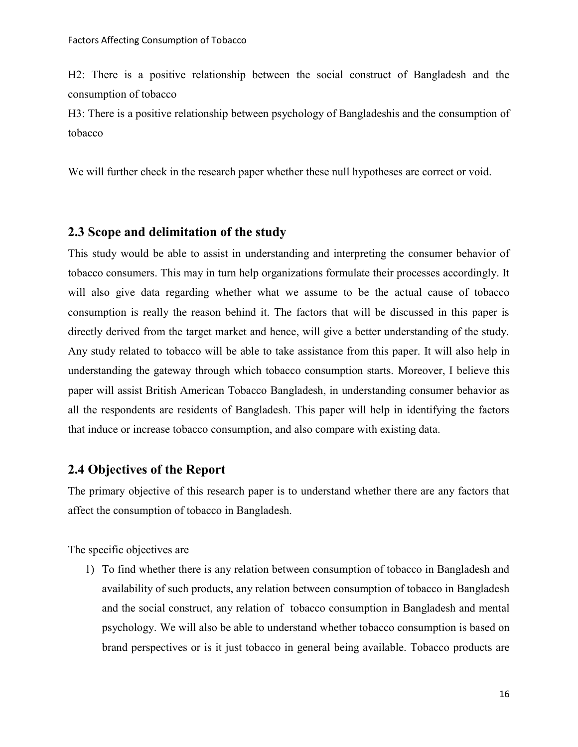H2: There is a positive relationship between the social construct of Bangladesh and the consumption of tobacco

H3: There is a positive relationship between psychology of Bangladeshis and the consumption of tobacco

We will further check in the research paper whether these null hypotheses are correct or void.

#### **2.3 Scope and delimitation of the study**

This study would be able to assist in understanding and interpreting the consumer behavior of tobacco consumers. This may in turn help organizations formulate their processes accordingly. It will also give data regarding whether what we assume to be the actual cause of tobacco consumption is really the reason behind it. The factors that will be discussed in this paper is directly derived from the target market and hence, will give a better understanding of the study. Any study related to tobacco will be able to take assistance from this paper. It will also help in understanding the gateway through which tobacco consumption starts. Moreover, I believe this paper will assist British American Tobacco Bangladesh, in understanding consumer behavior as all the respondents are residents of Bangladesh. This paper will help in identifying the factors that induce or increase tobacco consumption, and also compare with existing data.

# **2.4 Objectives of the Report**

The primary objective of this research paper is to understand whether there are any factors that affect the consumption of tobacco in Bangladesh.

The specific objectives are

1) To find whether there is any relation between consumption of tobacco in Bangladesh and availability of such products, any relation between consumption of tobacco in Bangladesh and the social construct, any relation of tobacco consumption in Bangladesh and mental psychology. We will also be able to understand whether tobacco consumption is based on brand perspectives or is it just tobacco in general being available. Tobacco products are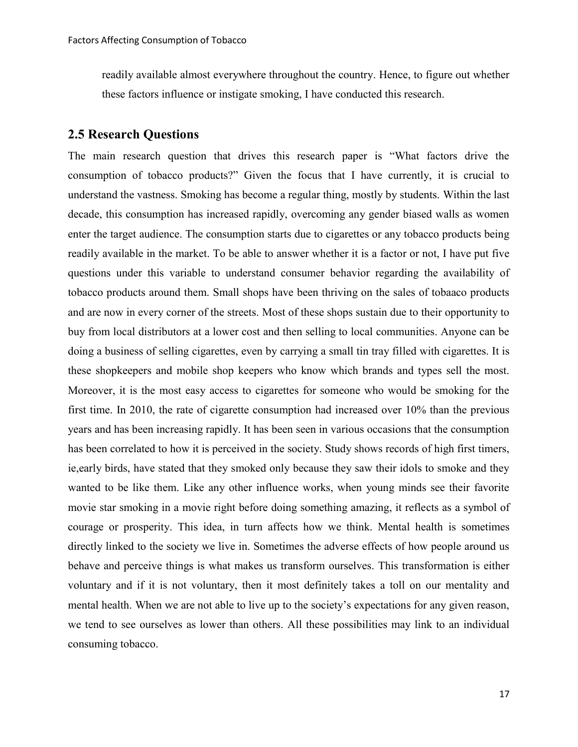readily available almost everywhere throughout the country. Hence, to figure out whether these factors influence or instigate smoking, I have conducted this research.

## **2.5 Research Questions**

The main research question that drives this research paper is "What factors drive the consumption of tobacco products?" Given the focus that I have currently, it is crucial to understand the vastness. Smoking has become a regular thing, mostly by students. Within the last decade, this consumption has increased rapidly, overcoming any gender biased walls as women enter the target audience. The consumption starts due to cigarettes or any tobacco products being readily available in the market. To be able to answer whether it is a factor or not, I have put five questions under this variable to understand consumer behavior regarding the availability of tobacco products around them. Small shops have been thriving on the sales of tobaaco products and are now in every corner of the streets. Most of these shops sustain due to their opportunity to buy from local distributors at a lower cost and then selling to local communities. Anyone can be doing a business of selling cigarettes, even by carrying a small tin tray filled with cigarettes. It is these shopkeepers and mobile shop keepers who know which brands and types sell the most. Moreover, it is the most easy access to cigarettes for someone who would be smoking for the first time. In 2010, the rate of cigarette consumption had increased over 10% than the previous years and has been increasing rapidly. It has been seen in various occasions that the consumption has been correlated to how it is perceived in the society. Study shows records of high first timers, ie,early birds, have stated that they smoked only because they saw their idols to smoke and they wanted to be like them. Like any other influence works, when young minds see their favorite movie star smoking in a movie right before doing something amazing, it reflects as a symbol of courage or prosperity. This idea, in turn affects how we think. Mental health is sometimes directly linked to the society we live in. Sometimes the adverse effects of how people around us behave and perceive things is what makes us transform ourselves. This transformation is either voluntary and if it is not voluntary, then it most definitely takes a toll on our mentality and mental health. When we are not able to live up to the society's expectations for any given reason, we tend to see ourselves as lower than others. All these possibilities may link to an individual consuming tobacco.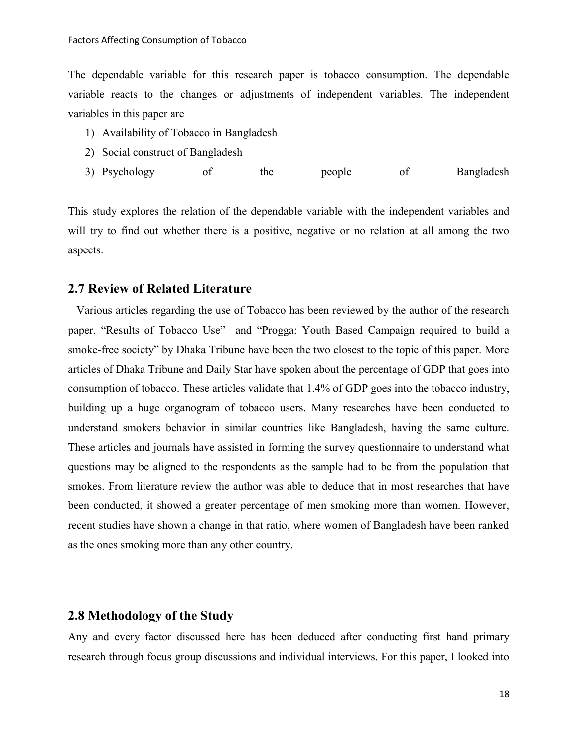The dependable variable for this research paper is tobacco consumption. The dependable variable reacts to the changes or adjustments of independent variables. The independent variables in this paper are

- 1) Availability of Tobacco in Bangladesh
- 2) Social construct of Bangladesh
- 3) Psychology of the people of Bangladesh

This study explores the relation of the dependable variable with the independent variables and will try to find out whether there is a positive, negative or no relation at all among the two aspects.

#### **2.7 Review of Related Literature**

 Various articles regarding the use of Tobacco has been reviewed by the author of the research paper. "Results of Tobacco Use" and "Progga: Youth Based Campaign required to build a smoke-free society" by Dhaka Tribune have been the two closest to the topic of this paper. More articles of Dhaka Tribune and Daily Star have spoken about the percentage of GDP that goes into consumption of tobacco. These articles validate that 1.4% of GDP goes into the tobacco industry, building up a huge organogram of tobacco users. Many researches have been conducted to understand smokers behavior in similar countries like Bangladesh, having the same culture. These articles and journals have assisted in forming the survey questionnaire to understand what questions may be aligned to the respondents as the sample had to be from the population that smokes. From literature review the author was able to deduce that in most researches that have been conducted, it showed a greater percentage of men smoking more than women. However, recent studies have shown a change in that ratio, where women of Bangladesh have been ranked as the ones smoking more than any other country.

#### **2.8 Methodology of the Study**

Any and every factor discussed here has been deduced after conducting first hand primary research through focus group discussions and individual interviews. For this paper, I looked into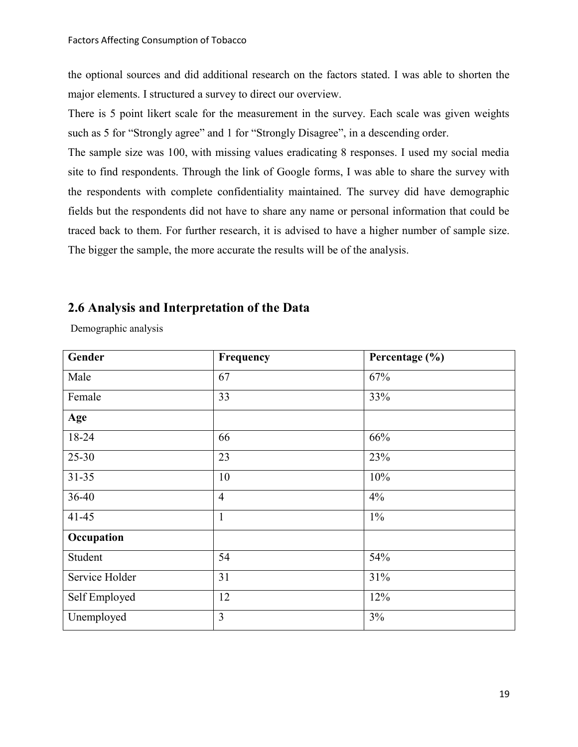the optional sources and did additional research on the factors stated. I was able to shorten the major elements. I structured a survey to direct our overview.

There is 5 point likert scale for the measurement in the survey. Each scale was given weights such as 5 for "Strongly agree" and 1 for "Strongly Disagree", in a descending order.

The sample size was 100, with missing values eradicating 8 responses. I used my social media site to find respondents. Through the link of Google forms, I was able to share the survey with the respondents with complete confidentiality maintained. The survey did have demographic fields but the respondents did not have to share any name or personal information that could be traced back to them. For further research, it is advised to have a higher number of sample size. The bigger the sample, the more accurate the results will be of the analysis.

# **2.6 Analysis and Interpretation of the Data**

Demographic analysis

| Gender         | Frequency      | Percentage (%) |
|----------------|----------------|----------------|
| Male           | 67             | 67%            |
| Female         | 33             | 33%            |
| Age            |                |                |
| 18-24          | 66             | 66%            |
| $25 - 30$      | 23             | 23%            |
| $31 - 35$      | 10             | 10%            |
| 36-40          | $\overline{4}$ | 4%             |
| $41 - 45$      | $\mathbf{1}$   | $1\%$          |
| Occupation     |                |                |
| Student        | 54             | 54%            |
| Service Holder | 31             | 31%            |
| Self Employed  | 12             | 12%            |
| Unemployed     | $\overline{3}$ | 3%             |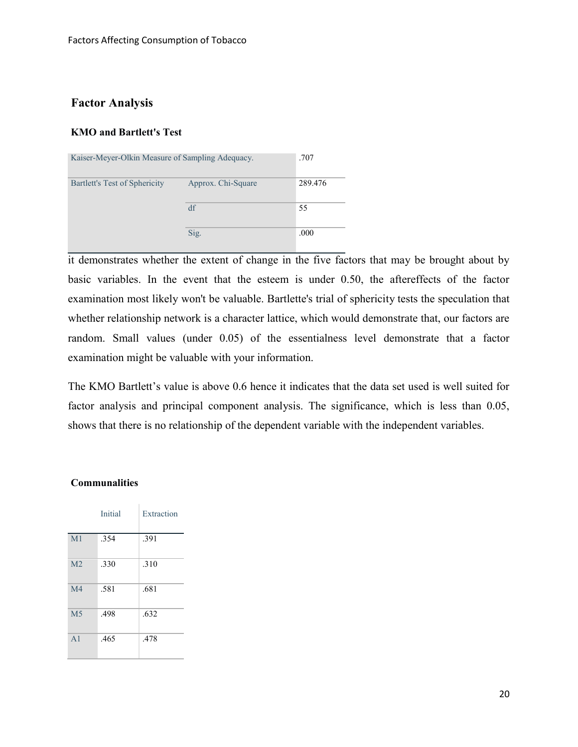## **Factor Analysis**

#### **KMO and Bartlett's Test**

| Kaiser-Meyer-Olkin Measure of Sampling Adequacy. | .707               |         |
|--------------------------------------------------|--------------------|---------|
| Bartlett's Test of Sphericity                    | Approx. Chi-Square | 289.476 |
|                                                  | df                 | 55      |
|                                                  | Sig.               | .000    |

it demonstrates whether the extent of change in the five factors that may be brought about by basic variables. In the event that the esteem is under 0.50, the aftereffects of the factor examination most likely won't be valuable. Bartlette's trial of sphericity tests the speculation that whether relationship network is a character lattice, which would demonstrate that, our factors are random. Small values (under 0.05) of the essentialness level demonstrate that a factor examination might be valuable with your information.

The KMO Bartlett's value is above 0.6 hence it indicates that the data set used is well suited for factor analysis and principal component analysis. The significance, which is less than 0.05, shows that there is no relationship of the dependent variable with the independent variables.

#### **Communalities**

|                | Initial | Extraction |
|----------------|---------|------------|
| M <sub>1</sub> | .354    | .391       |
| M <sub>2</sub> | .330    | .310       |
| M <sub>4</sub> | .581    | .681       |
| M <sub>5</sub> | .498    | .632       |
| A <sub>1</sub> | .465    | .478       |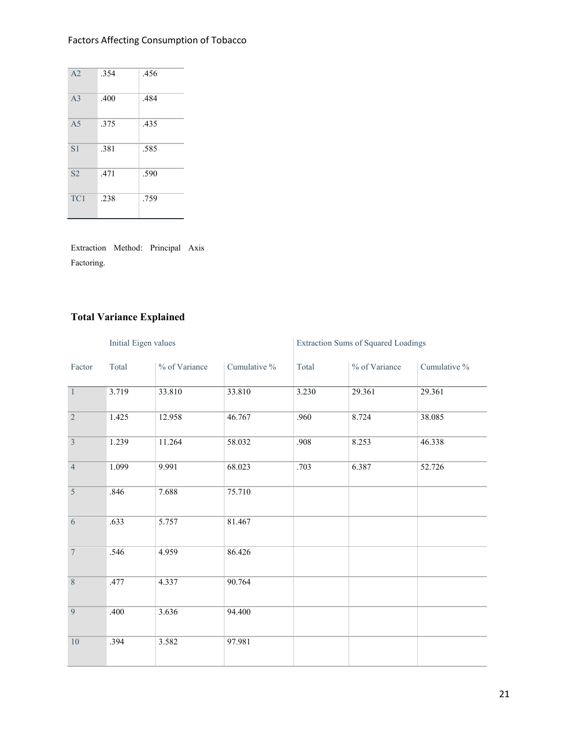# Factors Affecting Consumption of Tobacco

| A <sub>2</sub>  | .354 | .456 |
|-----------------|------|------|
| A <sub>3</sub>  | .400 | .484 |
| A <sub>5</sub>  | .375 | .435 |
| S <sub>1</sub>  | .381 | .585 |
| S <sub>2</sub>  | .471 | .590 |
| TC <sub>1</sub> | .238 | .759 |

Extraction Method: Principal Axis Factoring.

# **Total Variance Explained**

|                | Initial Eigen values |               | <b>Extraction Sums of Squared Loadings</b> |       |               |              |
|----------------|----------------------|---------------|--------------------------------------------|-------|---------------|--------------|
| Factor         | Total                | % of Variance | Cumulative %                               | Total | % of Variance | Cumulative % |
| $\overline{1}$ | 3.719                | 33.810        | 33.810                                     | 3.230 | 29.361        | 29.361       |
| $\overline{2}$ | 1.425                | 12.958        | 46.767                                     | .960  | 8.724         | 38.085       |
| $\overline{3}$ | 1.239                | 11.264        | 58.032                                     | .908  | 8.253         | 46.338       |
| $\overline{4}$ | 1.099                | 9.991         | 68.023                                     | .703  | 6.387         | 52.726       |
| $\overline{5}$ | .846                 | 7.688         | 75.710                                     |       |               |              |
| $\overline{6}$ | .633                 | 5.757         | 81.467                                     |       |               |              |
| $\overline{7}$ | .546                 | 4.959         | 86.426                                     |       |               |              |
| $\overline{8}$ | .477                 | 4.337         | 90.764                                     |       |               |              |
| $\overline{9}$ | .400                 | 3.636         | 94.400                                     |       |               |              |
| 10             | .394                 | 3.582         | 97.981                                     |       |               |              |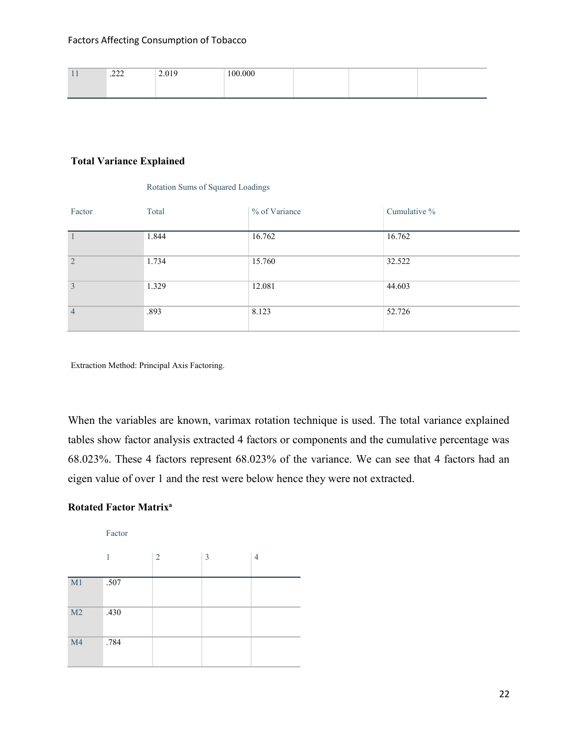| . | $\sim$<br>$-1$<br><u>.</u> | 010<br>$\sim$ $\sim$ $\sim$ $\sim$ | 100.000 |  |  |
|---|----------------------------|------------------------------------|---------|--|--|
|   |                            |                                    |         |  |  |

#### **Total Variance Explained**

#### Rotation Sums of Squared Loadings

| Factor         | Total | % of Variance | Cumulative % |
|----------------|-------|---------------|--------------|
|                | 1.844 | 16.762        | 16.762       |
| 2              | 1.734 | 15.760        | 32.522       |
| $\overline{3}$ | 1.329 | 12.081        | 44.603       |
| $\overline{4}$ | .893  | 8.123         | 52.726       |

Extraction Method: Principal Axis Factoring.

When the variables are known, varimax rotation technique is used. The total variance explained tables show factor analysis extracted 4 factors or components and the cumulative percentage was 68.023%. These 4 factors represent 68.023% of the variance. We can see that 4 factors had an eigen value of over 1 and the rest were below hence they were not extracted.

### **Rotated Factor Matrix<sup>a</sup>**

Factor

|                | 1    | $\overline{2}$ | 3 | $\overline{4}$ |
|----------------|------|----------------|---|----------------|
| M1             | .507 |                |   |                |
| M <sub>2</sub> | .430 |                |   |                |
| M <sub>4</sub> | .784 |                |   |                |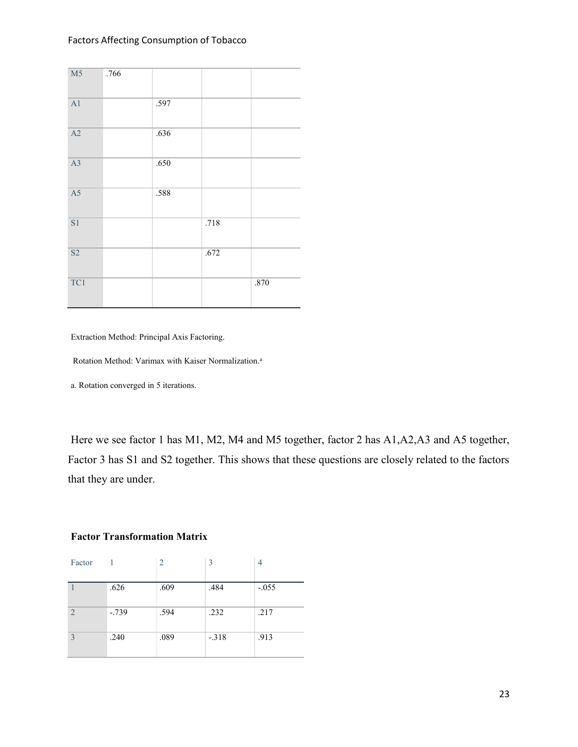| $\overline{M5}$ | .766 |      |      |      |
|-----------------|------|------|------|------|
| $\overline{A1}$ |      | .597 |      |      |
| A2              |      | .636 |      |      |
| $\overline{A3}$ |      | .650 |      |      |
| $\overline{A5}$ |      | .588 |      |      |
| $\overline{S1}$ |      |      | .718 |      |
| $\overline{S2}$ |      |      | .672 |      |
| TC1             |      |      |      | .870 |

Extraction Method: Principal Axis Factoring.

Rotation Method: Varimax with Kaiser Normalization.<sup>a</sup>

a. Rotation converged in 5 iterations.

Here we see factor 1 has M1, M2, M4 and M5 together, factor 2 has A1,A2,A3 and A5 together, Factor 3 has S1 and S2 together. This shows that these questions are closely related to the factors that they are under.

#### **Factor Transformation Matrix**

| Factor         |         | 2    | 3       | 4       |
|----------------|---------|------|---------|---------|
|                | .626    | .609 | .484    | $-.055$ |
| $\overline{2}$ | $-.739$ | .594 | .232    | .217    |
| 3              | .240    | .089 | $-.318$ | .913    |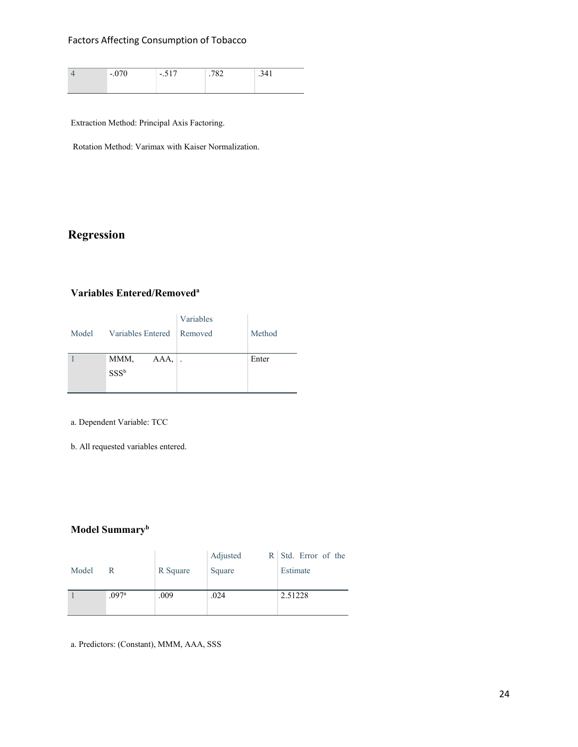#### Factors Affecting Consumption of Tobacco

| $\overline{\phantom{0}}$ | $\overline{\phantom{0}}$<br>$\cdot$ | $\tilde{}$ | . . |
|--------------------------|-------------------------------------|------------|-----|
|                          |                                     |            |     |

Extraction Method: Principal Axis Factoring.

Rotation Method: Varimax with Kaiser Normalization.

# **Regression**

#### **Variables Entered/Removed<sup>a</sup>**

| Model Variables Entered Removed | Variables | Method |
|---------------------------------|-----------|--------|
| MMM,<br>$SSS^b$                 | $AAA$ , . | Enter  |

a. Dependent Variable: TCC

b. All requested variables entered.

## **Model Summary<sup>b</sup>**

|       |                   |          | Adjusted | R Std. Error of the |
|-------|-------------------|----------|----------|---------------------|
| Model | R                 | R Square | Square   | Estimate            |
|       |                   |          |          |                     |
|       | .097 <sup>a</sup> | .009     | .024     | 2.51228             |
|       |                   |          |          |                     |
|       |                   |          |          |                     |

a. Predictors: (Constant), MMM, AAA, SSS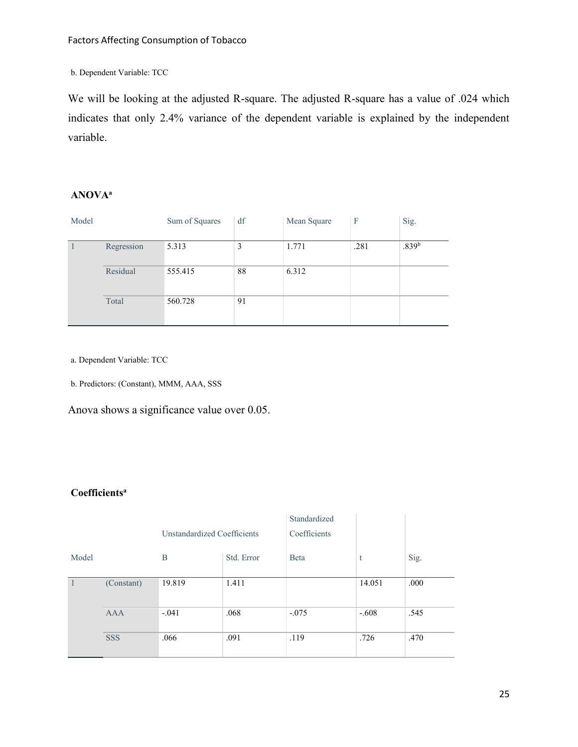b. Dependent Variable: TCC

We will be looking at the adjusted R-square. The adjusted R-square has a value of .024 which indicates that only 2.4% variance of the dependent variable is explained by the independent variable.

## **ANOVA<sup>a</sup>**

| Model |            | Sum of Squares | df | Mean Square | F    | Sig.              |
|-------|------------|----------------|----|-------------|------|-------------------|
|       | Regression | 5.313          | 3  | 1.771       | .281 | .839 <sup>b</sup> |
|       | Residual   | 555.415        | 88 | 6.312       |      |                   |
|       | Total      | 560.728        | 91 |             |      |                   |

a. Dependent Variable: TCC

b. Predictors: (Constant), MMM, AAA, SSS

Anova shows a significance value over 0.05.

## **Coefficients<sup>a</sup>**

|                |            |                                    |            | Standardized |         |      |
|----------------|------------|------------------------------------|------------|--------------|---------|------|
|                |            | <b>Unstandardized Coefficients</b> |            | Coefficients |         |      |
| Model          |            | B                                  | Std. Error | <b>B</b> eta | t       | Sig. |
| $\overline{1}$ | (Constant) | 19.819                             | 1.411      |              | 14.051  | .000 |
|                | <b>AAA</b> | $-.041$                            | .068       | $-.075$      | $-.608$ | .545 |
|                | <b>SSS</b> | .066                               | .091       | .119         | .726    | .470 |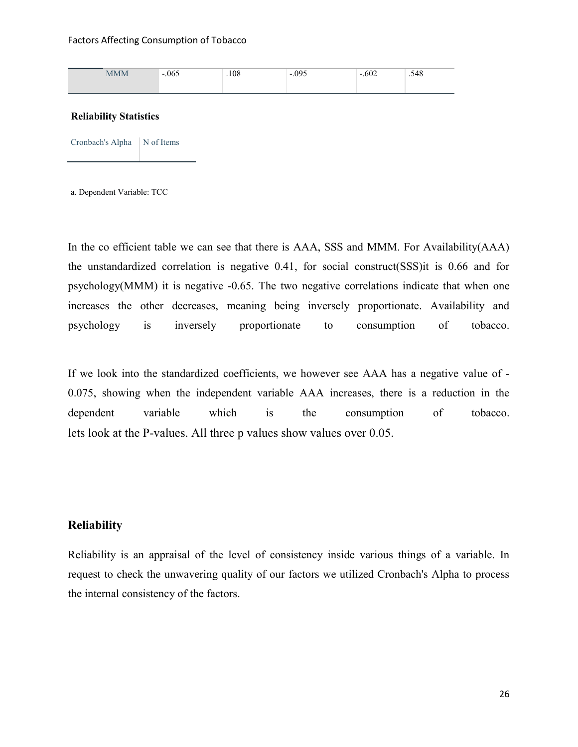| MMM | .065<br>- | .108 | .095<br>$\overline{\phantom{0}}$ | $\sim$ 0.0<br>.ouz<br>$\overline{\phantom{0}}$ | .548 |
|-----|-----------|------|----------------------------------|------------------------------------------------|------|
|     |           |      |                                  |                                                |      |

#### **Reliability Statistics**

Cronbach's Alpha N of Items

a. Dependent Variable: TCC

In the co efficient table we can see that there is AAA, SSS and MMM. For Availability(AAA) the unstandardized correlation is negative 0.41, for social construct(SSS)it is 0.66 and for psychology(MMM) it is negative -0.65. The two negative correlations indicate that when one increases the other decreases, meaning being inversely proportionate. Availability and psychology is inversely proportionate to consumption of tobacco.

If we look into the standardized coefficients, we however see AAA has a negative value of - 0.075, showing when the independent variable AAA increases, there is a reduction in the dependent variable which is the consumption of tobacco. lets look at the P-values. All three p values show values over 0.05.

## **Reliability**

Reliability is an appraisal of the level of consistency inside various things of a variable. In request to check the unwavering quality of our factors we utilized Cronbach's Alpha to process the internal consistency of the factors.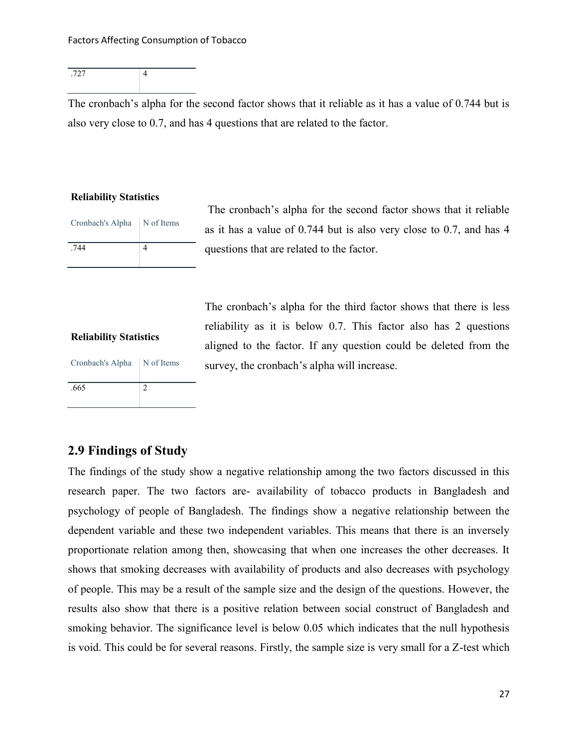.727 4

The cronbach's alpha for the second factor shows that it reliable as it has a value of 0.744 but is also very close to 0.7, and has 4 questions that are related to the factor.

#### **Reliability Statistics**

| Cronbach's Alpha   N of Items |  |
|-------------------------------|--|
| .744                          |  |

The cronbach's alpha for the second factor shows that it reliable as it has a value of 0.744 but is also very close to 0.7, and has 4 questions that are related to the factor.

#### **Reliability Statistics**

| Cronbach's Alpha | N of Items |
|------------------|------------|
| .665             |            |

The cronbach's alpha for the third factor shows that there is less reliability as it is below 0.7. This factor also has 2 questions aligned to the factor. If any question could be deleted from the survey, the cronbach's alpha will increase.

# **2.9 Findings of Study**

The findings of the study show a negative relationship among the two factors discussed in this research paper. The two factors are- availability of tobacco products in Bangladesh and psychology of people of Bangladesh. The findings show a negative relationship between the dependent variable and these two independent variables. This means that there is an inversely proportionate relation among then, showcasing that when one increases the other decreases. It shows that smoking decreases with availability of products and also decreases with psychology of people. This may be a result of the sample size and the design of the questions. However, the results also show that there is a positive relation between social construct of Bangladesh and smoking behavior. The significance level is below 0.05 which indicates that the null hypothesis is void. This could be for several reasons. Firstly, the sample size is very small for a Z-test which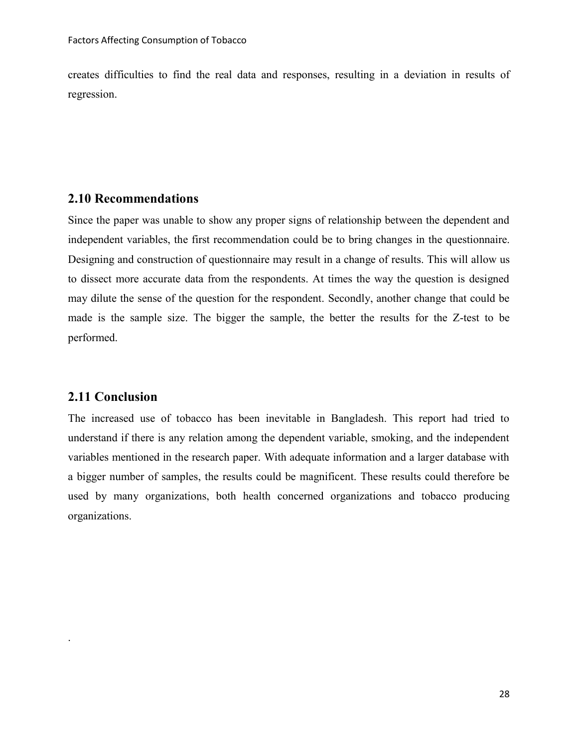creates difficulties to find the real data and responses, resulting in a deviation in results of regression.

# **2.10 Recommendations**

Since the paper was unable to show any proper signs of relationship between the dependent and independent variables, the first recommendation could be to bring changes in the questionnaire. Designing and construction of questionnaire may result in a change of results. This will allow us to dissect more accurate data from the respondents. At times the way the question is designed may dilute the sense of the question for the respondent. Secondly, another change that could be made is the sample size. The bigger the sample, the better the results for the Z-test to be performed.

## **2.11 Conclusion**

.

The increased use of tobacco has been inevitable in Bangladesh. This report had tried to understand if there is any relation among the dependent variable, smoking, and the independent variables mentioned in the research paper. With adequate information and a larger database with a bigger number of samples, the results could be magnificent. These results could therefore be used by many organizations, both health concerned organizations and tobacco producing organizations.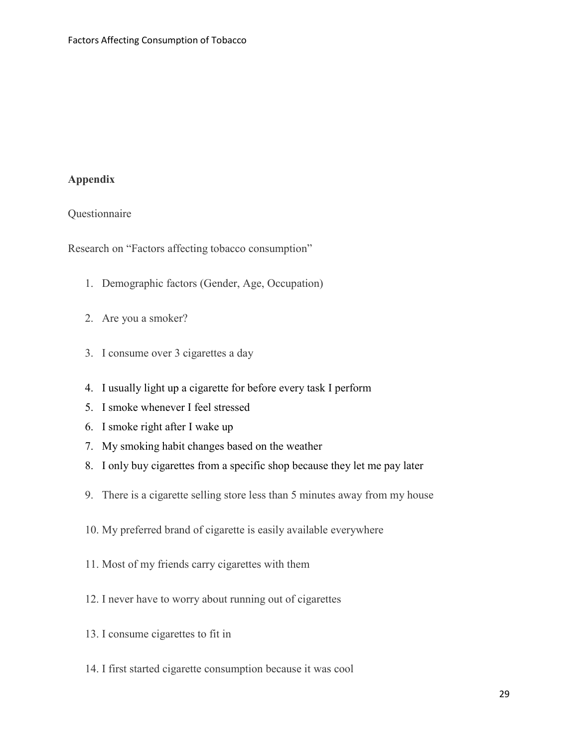# **Appendix**

# Questionnaire

Research on "Factors affecting tobacco consumption"

- 1. Demographic factors (Gender, Age, Occupation)
- 2. Are you a smoker?
- 3. I consume over 3 cigarettes a day
- 4. I usually light up a cigarette for before every task I perform
- 5. I smoke whenever I feel stressed
- 6. I smoke right after I wake up
- 7. My smoking habit changes based on the weather
- 8. I only buy cigarettes from a specific shop because they let me pay later
- 9. There is a cigarette selling store less than 5 minutes away from my house
- 10. My preferred brand of cigarette is easily available everywhere
- 11. Most of my friends carry cigarettes with them
- 12. I never have to worry about running out of cigarettes
- 13. I consume cigarettes to fit in
- 14. I first started cigarette consumption because it was cool